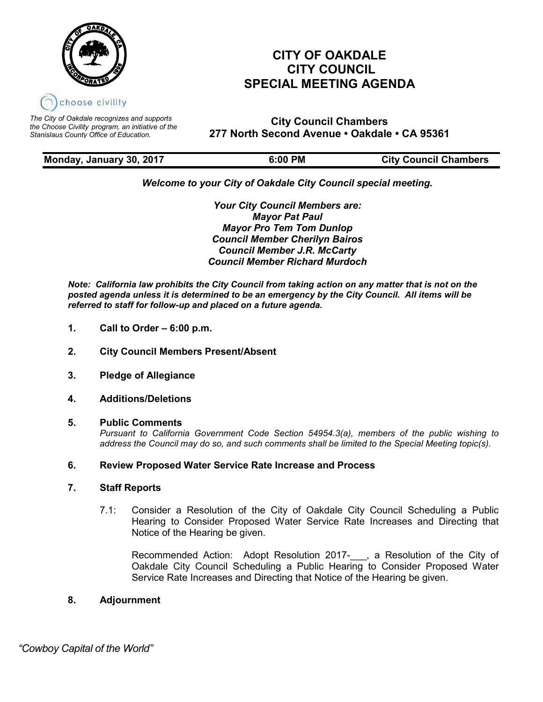

*The City of Oakdale recognizes and supports the Choose Civility program, an initiative of the Stanislaus County Office of Education.*

## **CITY OF OAKDALE CITY COUNCIL SPECIAL MEETING AGENDA**

**City Council Chambers 277 North Second Avenue • Oakdale • CA 95361**

| Monday, January 30, 2017 | 6:00 PM | <b>City Council Chambers</b> |
|--------------------------|---------|------------------------------|

### *Welcome to your City of Oakdale City Council special meeting.*

*Your City Council Members are: Mayor Pat Paul Mayor Pro Tem Tom Dunlop Council Member Cherilyn Bairos Council Member J.R. McCarty Council Member Richard Murdoch*

*Note: California law prohibits the City Council from taking action on any matter that is not on the posted agenda unless it is determined to be an emergency by the City Council. All items will be referred to staff for follow-up and placed on a future agenda.* 

- **1. Call to Order – 6:00 p.m.**
- **2. City Council Members Present/Absent**
- **3. Pledge of Allegiance**
- **4. Additions/Deletions**
- **5. Public Comments**

*Pursuant to California Government Code Section 54954.3(a), members of the public wishing to address the Council may do so, and such comments shall be limited to the Special Meeting topic(s).*

#### **6. Review Proposed Water Service Rate Increase and Process**

#### **7. Staff Reports**

7.1: Consider a Resolution of the City of Oakdale City Council Scheduling a Public Hearing to Consider Proposed Water Service Rate Increases and Directing that Notice of the Hearing be given.

Recommended Action: Adopt Resolution 2017-\_\_\_, a Resolution of the City of Oakdale City Council Scheduling a Public Hearing to Consider Proposed Water Service Rate Increases and Directing that Notice of the Hearing be given.

#### **8. Adjournment**

 *"Cowboy Capital of the World"*